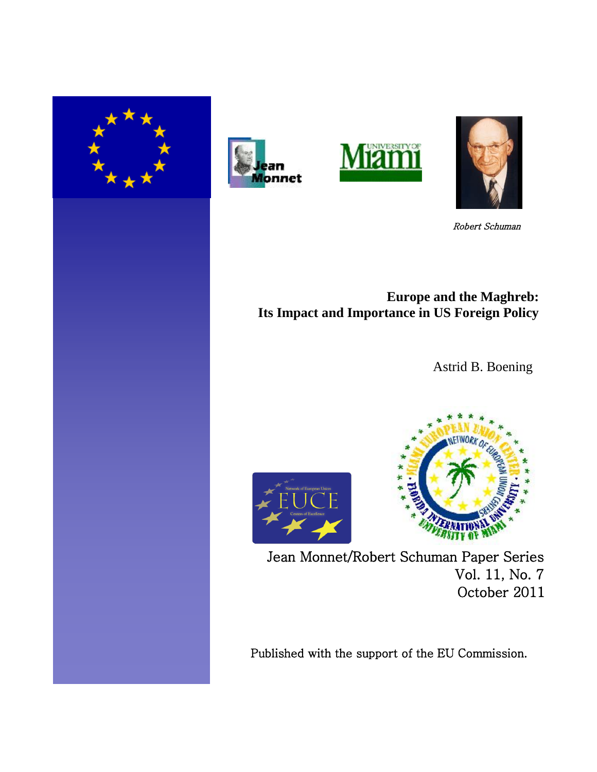







Robert Schuman

# **Europe and the Maghreb: Its Impact and Importance in US Foreign Policy**

Astrid B. Boening





Jean Monnet/Robert Schuman Paper Series Vol. 11, No. 7 October 2011

Published with the support of the EU Commission.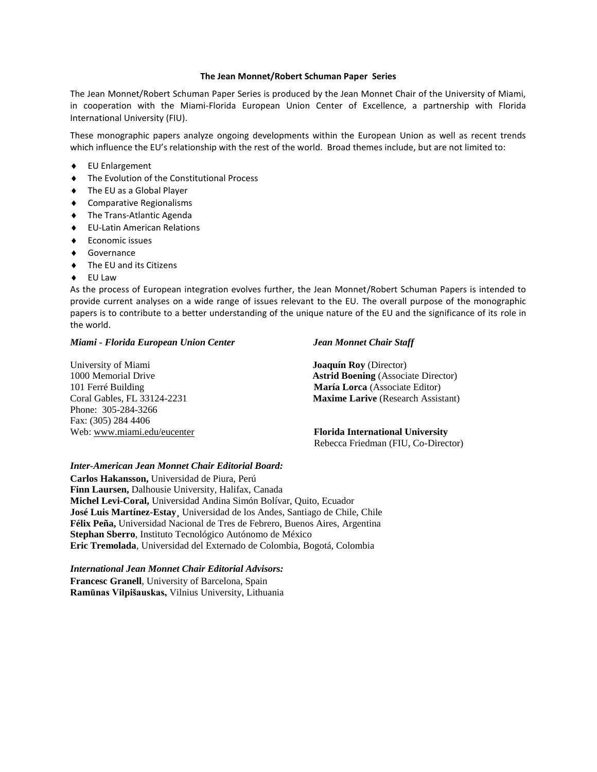#### **The Jean Monnet/Robert Schuman Paper Series**

The Jean Monnet/Robert Schuman Paper Series is produced by the Jean Monnet Chair of the University of Miami, in cooperation with the Miami-Florida European Union Center of Excellence, a partnership with Florida International University (FIU).

These monographic papers analyze ongoing developments within the European Union as well as recent trends which influence the EU's relationship with the rest of the world. Broad themes include, but are not limited to:

- EU Enlargement
- $\bullet$  The Evolution of the Constitutional Process
- ◆ The EU as a Global Player
- Comparative Regionalisms
- ◆ The Trans-Atlantic Agenda
- EU-Latin American Relations
- Economic issues
- ◆ Governance
- ◆ The EU and its Citizens
- EU Law

As the process of European integration evolves further, the Jean Monnet/Robert Schuman Papers is intended to provide current analyses on a wide range of issues relevant to the EU. The overall purpose of the monographic papers is to contribute to a better understanding of the unique nature of the EU and the significance of its role in the world.

#### *Miami - Florida European Union Center Jean Monnet Chair Staff*

University of Miami<br>
1000 Memorial Drive<br>
1000 Memorial Drive<br> **Astrid Boening** (Association) 101 Ferré Building **María Lorca** (Associate Editor) Phone: 305-284-3266 Fax: (305) 284 4406

**Astrid Boening** (Associate Director) Coral Gables, FL 33124-2231 **Maxime Larive** (Research Assistant)

Web: [www.miami.edu/eucenter](http://www.miami.edu/eucenter) **Florida International University** Rebecca Friedman (FIU, Co-Director)

#### *Inter-American Jean Monnet Chair Editorial Board:*

**Carlos Hakansson,** Universidad de Piura, Perú **Finn Laursen,** Dalhousie University, Halifax, Canada **Michel Levi-Coral,** Universidad Andina Simón Bolívar, Quito, Ecuador **José Luis Martínez-Estay¸** Universidad de los Andes, Santiago de Chile, Chile **Félix Peña,** Universidad Nacional de Tres de Febrero, Buenos Aires, Argentina **Stephan Sberro**, Instituto Tecnológico Autónomo de México **Eric Tremolada**, Universidad del Externado de Colombia, Bogotá, Colombia

*International Jean Monnet Chair Editorial Advisors:* **Francesc Granell**, University of Barcelona, Spain **Ramūnas Vilpišauskas,** Vilnius University, Lithuania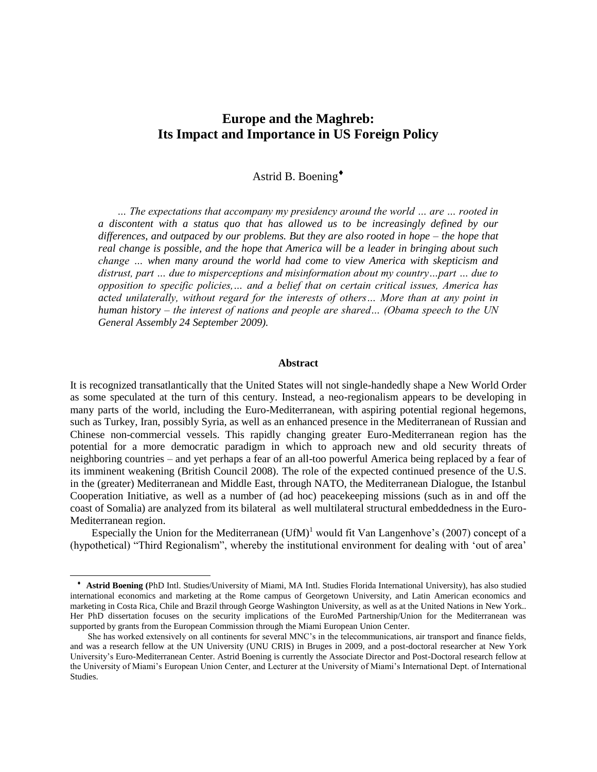## **Europe and the Maghreb: Its Impact and Importance in US Foreign Policy**

Astrid B. Boening

 *… The expectations that accompany my presidency around the world … are … rooted in a discontent with a status quo that has allowed us to be increasingly defined by our differences, and outpaced by our problems. But they are also rooted in hope – the hope that real change is possible, and the hope that America will be a leader in bringing about such change … when many around the world had come to view America with skepticism and distrust, part … due to misperceptions and misinformation about my country…part … due to opposition to specific policies,… and a belief that on certain critical issues, America has acted unilaterally, without regard for the interests of others… More than at any point in human history – the interest of nations and people are shared… (Obama speech to the UN General Assembly 24 September 2009).*

#### **Abstract**

It is recognized transatlantically that the United States will not single-handedly shape a New World Order as some speculated at the turn of this century. Instead, a neo-regionalism appears to be developing in many parts of the world, including the Euro-Mediterranean, with aspiring potential regional hegemons, such as Turkey, Iran, possibly Syria, as well as an enhanced presence in the Mediterranean of Russian and Chinese non-commercial vessels. This rapidly changing greater Euro-Mediterranean region has the potential for a more democratic paradigm in which to approach new and old security threats of neighboring countries – and yet perhaps a fear of an all-too powerful America being replaced by a fear of its imminent weakening (British Council 2008). The role of the expected continued presence of the U.S. in the (greater) Mediterranean and Middle East, through NATO, the Mediterranean Dialogue, the Istanbul Cooperation Initiative, as well as a number of (ad hoc) peacekeeping missions (such as in and off the coast of Somalia) are analyzed from its bilateral as well multilateral structural embeddedness in the Euro-Mediterranean region.

Especially the Union for the Mediterranean  $(UfM)^{1}$  would fit Van Langenhove's (2007) concept of a (hypothetical) "Third Regionalism", whereby the institutional environment for dealing with "out of area"

l

 **Astrid Boening (**PhD Intl. Studies/University of Miami, MA Intl. Studies Florida International University), has also studied international economics and marketing at the Rome campus of Georgetown University, and Latin American economics and marketing in Costa Rica, Chile and Brazil through George Washington University, as well as at the United Nations in New York.. Her PhD dissertation focuses on the security implications of the EuroMed Partnership/Union for the Mediterranean was supported by grants from the European Commission through the Miami European Union Center.

She has worked extensively on all continents for several MNC"s in the telecommunications, air transport and finance fields, and was a research fellow at the UN University (UNU CRIS) in Bruges in 2009, and a post-doctoral researcher at New York University"s Euro-Mediterranean Center. Astrid Boening is currently the Associate Director and Post-Doctoral research fellow at the University of Miami"s European Union Center, and Lecturer at the University of Miami"s International Dept. of International Studies.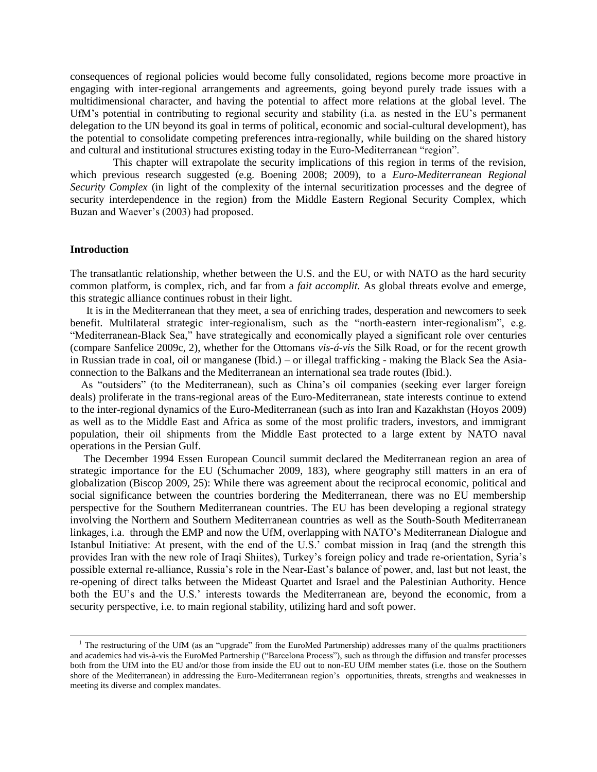consequences of regional policies would become fully consolidated, regions become more proactive in engaging with inter-regional arrangements and agreements, going beyond purely trade issues with a multidimensional character, and having the potential to affect more relations at the global level. The UfM"s potential in contributing to regional security and stability (i.a. as nested in the EU"s permanent delegation to the UN beyond its goal in terms of political, economic and social-cultural development), has the potential to consolidate competing preferences intra-regionally, while building on the shared history and cultural and institutional structures existing today in the Euro-Mediterranean "region".

 This chapter will extrapolate the security implications of this region in terms of the revision, which previous research suggested (e.g. Boening 2008; 2009), to a *Euro-Mediterranean Regional Security Complex* (in light of the complexity of the internal securitization processes and the degree of security interdependence in the region) from the Middle Eastern Regional Security Complex, which Buzan and Waever"s (2003) had proposed.

#### **Introduction**

 $\overline{\phantom{a}}$ 

The transatlantic relationship, whether between the U.S. and the EU, or with NATO as the hard security common platform, is complex, rich, and far from a *fait accomplit.* As global threats evolve and emerge, this strategic alliance continues robust in their light.

 It is in the Mediterranean that they meet, a sea of enriching trades, desperation and newcomers to seek benefit. Multilateral strategic inter-regionalism, such as the "north-eastern inter-regionalism", e.g. "Mediterranean-Black Sea," have strategically and economically played a significant role over centuries (compare Sanfelice 2009c, 2), whether for the Ottomans *vis-á-vis* the Silk Road, or for the recent growth in Russian trade in coal, oil or manganese (Ibid.) – or illegal trafficking - making the Black Sea the Asiaconnection to the Balkans and the Mediterranean an international sea trade routes (Ibid.).

 As "outsiders" (to the Mediterranean), such as China"s oil companies (seeking ever larger foreign deals) proliferate in the trans-regional areas of the Euro-Mediterranean, state interests continue to extend to the inter-regional dynamics of the Euro-Mediterranean (such as into Iran and Kazakhstan (Hoyos 2009) as well as to the Middle East and Africa as some of the most prolific traders, investors, and immigrant population, their oil shipments from the Middle East protected to a large extent by NATO naval operations in the Persian Gulf.

 The December 1994 Essen European Council summit declared the Mediterranean region an area of strategic importance for the EU (Schumacher 2009, 183), where geography still matters in an era of globalization (Biscop 2009, 25): While there was agreement about the reciprocal economic, political and social significance between the countries bordering the Mediterranean, there was no EU membership perspective for the Southern Mediterranean countries. The EU has been developing a regional strategy involving the Northern and Southern Mediterranean countries as well as the South-South Mediterranean linkages, i.a. through the EMP and now the UfM, overlapping with NATO"s Mediterranean Dialogue and Istanbul Initiative: At present, with the end of the U.S." combat mission in Iraq (and the strength this provides Iran with the new role of Iraqi Shiites), Turkey"s foreign policy and trade re-orientation, Syria"s possible external re-alliance, Russia"s role in the Near-East"s balance of power, and, last but not least, the re-opening of direct talks between the Mideast Quartet and Israel and the Palestinian Authority. Hence both the EU's and the U.S.' interests towards the Mediterranean are, beyond the economic, from a security perspective, i.e. to main regional stability, utilizing hard and soft power.

<sup>&</sup>lt;sup>1</sup> The restructuring of the UfM (as an "upgrade" from the EuroMed Partmership) addresses many of the qualms practitioners and academics had vis-à-vis the EuroMed Partnership ("Barcelona Process"), such as through the diffusion and transfer processes both from the UfM into the EU and/or those from inside the EU out to non-EU UfM member states (i.e. those on the Southern shore of the Mediterranean) in addressing the Euro-Mediterranean region"s opportunities, threats, strengths and weaknesses in meeting its diverse and complex mandates.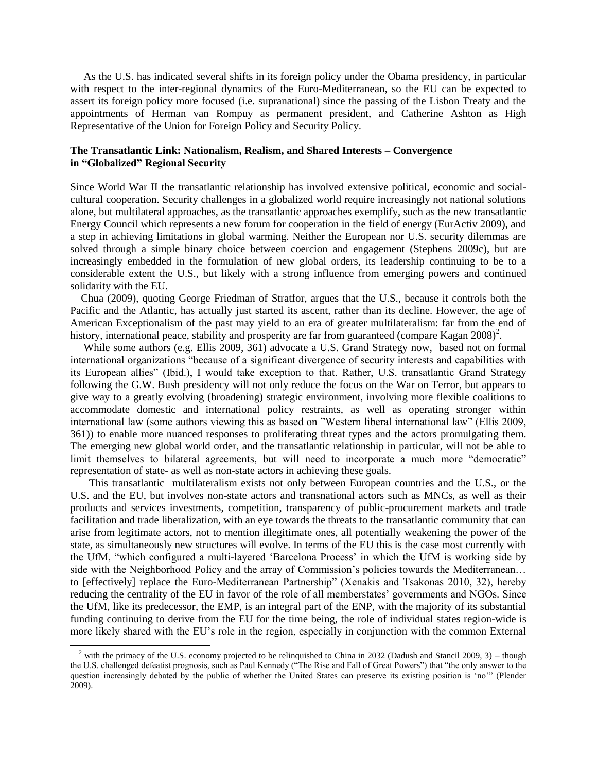As the U.S. has indicated several shifts in its foreign policy under the Obama presidency, in particular with respect to the inter-regional dynamics of the Euro-Mediterranean, so the EU can be expected to assert its foreign policy more focused (i.e. supranational) since the passing of the Lisbon Treaty and the appointments of Herman van Rompuy as permanent president, and Catherine Ashton as High Representative of the Union for Foreign Policy and Security Policy.

### **The Transatlantic Link: Nationalism, Realism, and Shared Interests – Convergence in "Globalized" Regional Security**

Since World War II the transatlantic relationship has involved extensive political, economic and socialcultural cooperation. Security challenges in a globalized world require increasingly not national solutions alone, but multilateral approaches, as the transatlantic approaches exemplify, such as the new transatlantic Energy Council which represents a new forum for cooperation in the field of energy (EurActiv 2009), and a step in achieving limitations in global warming. Neither the European nor U.S. security dilemmas are solved through a simple binary choice between coercion and engagement (Stephens 2009c), but are increasingly embedded in the formulation of new global orders, its leadership continuing to be to a considerable extent the U.S., but likely with a strong influence from emerging powers and continued solidarity with the EU.

 Chua (2009), quoting George Friedman of Stratfor, argues that the U.S., because it controls both the Pacific and the Atlantic, has actually just started its ascent, rather than its decline. However, the age of American Exceptionalism of the past may yield to an era of greater multilateralism: far from the end of history, international peace, stability and prosperity are far from guaranteed (compare Kagan 2008)<sup>2</sup>.

 While some authors (e.g. Ellis 2009, 361) advocate a U.S. Grand Strategy now, based not on formal international organizations "because of a significant divergence of security interests and capabilities with its European allies" (Ibid.), I would take exception to that. Rather, U.S. transatlantic Grand Strategy following the G.W. Bush presidency will not only reduce the focus on the War on Terror, but appears to give way to a greatly evolving (broadening) strategic environment, involving more flexible coalitions to accommodate domestic and international policy restraints, as well as operating stronger within international law (some authors viewing this as based on "Western liberal international law" (Ellis 2009, 361)) to enable more nuanced responses to proliferating threat types and the actors promulgating them. The emerging new global world order, and the transatlantic relationship in particular, will not be able to limit themselves to bilateral agreements, but will need to incorporate a much more "democratic" representation of state- as well as non-state actors in achieving these goals.

 This transatlantic multilateralism exists not only between European countries and the U.S., or the U.S. and the EU, but involves non-state actors and transnational actors such as MNCs, as well as their products and services investments, competition, transparency of public-procurement markets and trade facilitation and trade liberalization, with an eye towards the threats to the transatlantic community that can arise from legitimate actors, not to mention illegitimate ones, all potentially weakening the power of the state, as simultaneously new structures will evolve. In terms of the EU this is the case most currently with the UfM, "which configured a multi-layered "Barcelona Process" in which the UfM is working side by side with the Neighborhood Policy and the array of Commission's policies towards the Mediterranean... to [effectively] replace the Euro-Mediterranean Partnership" (Xenakis and Tsakonas 2010, 32), hereby reducing the centrality of the EU in favor of the role of all memberstates" governments and NGOs. Since the UfM, like its predecessor, the EMP, is an integral part of the ENP, with the majority of its substantial funding continuing to derive from the EU for the time being, the role of individual states region-wide is more likely shared with the EU"s role in the region, especially in conjunction with the common External

 $\overline{a}$ 

<sup>&</sup>lt;sup>2</sup> with the primacy of the U.S. economy projected to be relinquished to China in 2032 (Dadush and Stancil 2009, 3) – though the U.S. challenged defeatist prognosis, such as Paul Kennedy ("The Rise and Fall of Great Powers") that "the only answer to the question increasingly debated by the public of whether the United States can preserve its existing position is "no"" (Plender 2009).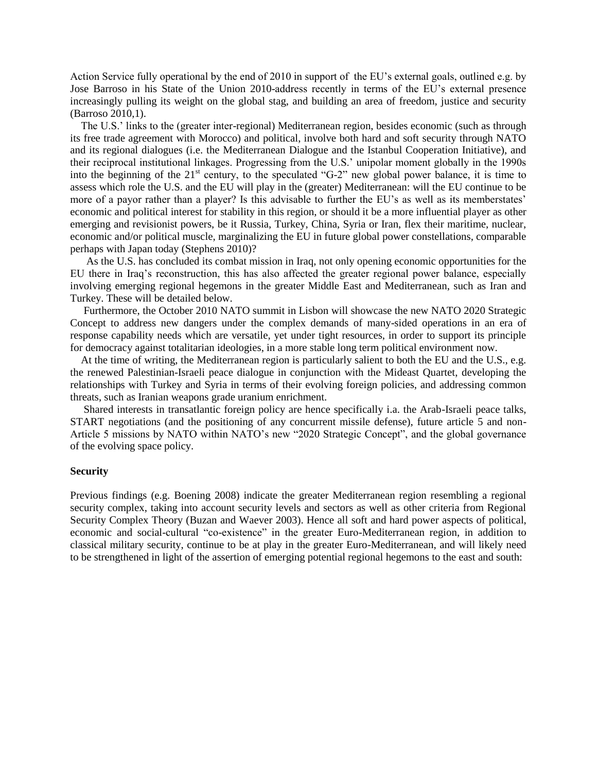Action Service fully operational by the end of 2010 in support of the EU"s external goals, outlined e.g. by Jose Barroso in his State of the Union 2010-address recently in terms of the EU"s external presence increasingly pulling its weight on the global stag, and building an area of freedom, justice and security (Barroso 2010,1).

 The U.S." links to the (greater inter-regional) Mediterranean region, besides economic (such as through its free trade agreement with Morocco) and political, involve both hard and soft security through NATO and its regional dialogues (i.e. the Mediterranean Dialogue and the Istanbul Cooperation Initiative), and their reciprocal institutional linkages. Progressing from the U.S." unipolar moment globally in the 1990s into the beginning of the 21<sup>st</sup> century, to the speculated "G-2" new global power balance, it is time to assess which role the U.S. and the EU will play in the (greater) Mediterranean: will the EU continue to be more of a payor rather than a player? Is this advisable to further the EU's as well as its memberstates' economic and political interest for stability in this region, or should it be a more influential player as other emerging and revisionist powers, be it Russia, Turkey, China, Syria or Iran, flex their maritime, nuclear, economic and/or political muscle, marginalizing the EU in future global power constellations, comparable perhaps with Japan today (Stephens 2010)?

 As the U.S. has concluded its combat mission in Iraq, not only opening economic opportunities for the EU there in Iraq"s reconstruction, this has also affected the greater regional power balance, especially involving emerging regional hegemons in the greater Middle East and Mediterranean, such as Iran and Turkey. These will be detailed below.

 Furthermore, the October 2010 NATO summit in Lisbon will showcase the new NATO 2020 Strategic Concept to address new dangers under the complex demands of many-sided operations in an era of response capability needs which are versatile, yet under tight resources, in order to support its principle for democracy against totalitarian ideologies, in a more stable long term political environment now.

 At the time of writing, the Mediterranean region is particularly salient to both the EU and the U.S., e.g. the renewed Palestinian-Israeli peace dialogue in conjunction with the Mideast Quartet, developing the relationships with Turkey and Syria in terms of their evolving foreign policies, and addressing common threats, such as Iranian weapons grade uranium enrichment.

 Shared interests in transatlantic foreign policy are hence specifically i.a. the Arab-Israeli peace talks, START negotiations (and the positioning of any concurrent missile defense), future article 5 and non-Article 5 missions by NATO within NATO"s new "2020 Strategic Concept", and the global governance of the evolving space policy.

#### **Security**

Previous findings (e.g. Boening 2008) indicate the greater Mediterranean region resembling a regional security complex, taking into account security levels and sectors as well as other criteria from Regional Security Complex Theory (Buzan and Waever 2003). Hence all soft and hard power aspects of political, economic and social-cultural "co-existence" in the greater Euro-Mediterranean region, in addition to classical military security, continue to be at play in the greater Euro-Mediterranean, and will likely need to be strengthened in light of the assertion of emerging potential regional hegemons to the east and south: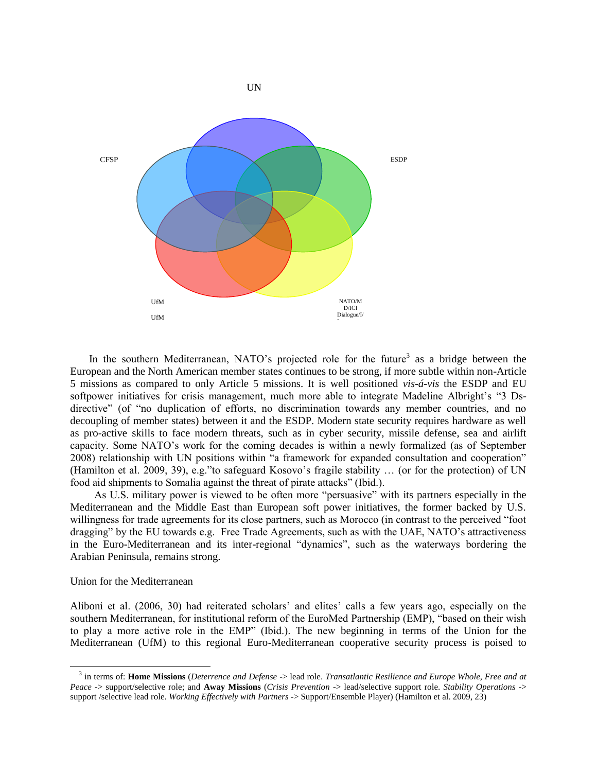

In the southern Mediterranean, NATO's projected role for the future<sup>3</sup> as a bridge between the European and the North American member states continues to be strong, if more subtle within non-Article 5 missions as compared to only Article 5 missions. It is well positioned *vis-á-vis* the ESDP and EU softpower initiatives for crisis management, much more able to integrate Madeline Albright's "3 Dsdirective" (of "no duplication of efforts, no discrimination towards any member countries, and no decoupling of member states) between it and the ESDP. Modern state security requires hardware as well as pro-active skills to face modern threats, such as in cyber security, missile defense, sea and airlift capacity. Some NATO"s work for the coming decades is within a newly formalized (as of September 2008) relationship with UN positions within "a framework for expanded consultation and cooperation" (Hamilton et al. 2009, 39), e.g."to safeguard Kosovo"s fragile stability … (or for the protection) of UN food aid shipments to Somalia against the threat of pirate attacks" (Ibid.).

 As U.S. military power is viewed to be often more "persuasive" with its partners especially in the Mediterranean and the Middle East than European soft power initiatives, the former backed by U.S. willingness for trade agreements for its close partners, such as Morocco (in contrast to the perceived "foot dragging" by the EU towards e.g. Free Trade Agreements, such as with the UAE, NATO's attractiveness in the Euro-Mediterranean and its inter-regional "dynamics", such as the waterways bordering the Arabian Peninsula, remains strong.

Union for the Mediterranean

l

Aliboni et al. (2006, 30) had reiterated scholars' and elites' calls a few years ago, especially on the southern Mediterranean, for institutional reform of the EuroMed Partnership (EMP), "based on their wish to play a more active role in the EMP" (Ibid.). The new beginning in terms of the Union for the Mediterranean (UfM) to this regional Euro-Mediterranean cooperative security process is poised to

<sup>3</sup> in terms of: **Home Missions** (*Deterrence and Defense* -> lead role. *Transatlantic Resilience and Europe Whole, Free and at Peace* -> support/selective role; and **Away Missions** (*Crisis Prevention* -> lead/selective support role. *Stability Operations* -> support /selective lead role. *Working Effectively with Partners* -> Support/Ensemble Player) (Hamilton et al. 2009, 23)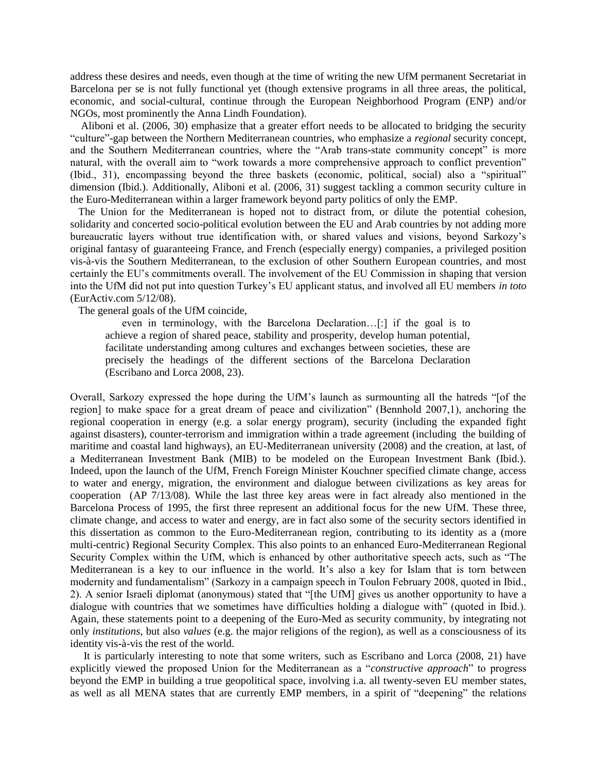address these desires and needs, even though at the time of writing the new UfM permanent Secretariat in Barcelona per se is not fully functional yet (though extensive programs in all three areas, the political, economic, and social-cultural, continue through the European Neighborhood Program (ENP) and/or NGOs, most prominently the Anna Lindh Foundation).

 Aliboni et al. (2006, 30) emphasize that a greater effort needs to be allocated to bridging the security "culture"-gap between the Northern Mediterranean countries, who emphasize a *regional* security concept, and the Southern Mediterranean countries, where the "Arab trans-state community concept" is more natural, with the overall aim to "work towards a more comprehensive approach to conflict prevention" (Ibid., 31), encompassing beyond the three baskets (economic, political, social) also a "spiritual" dimension (Ibid.). Additionally, Aliboni et al. (2006, 31) suggest tackling a common security culture in the Euro-Mediterranean within a larger framework beyond party politics of only the EMP.

 The Union for the Mediterranean is hoped not to distract from, or dilute the potential cohesion, solidarity and concerted socio-political evolution between the EU and Arab countries by not adding more bureaucratic layers without true identification with, or shared values and visions, beyond Sarkozy"s original fantasy of guaranteeing France, and French (especially energy) companies, a privileged position vis-à-vis the Southern Mediterranean, to the exclusion of other Southern European countries, and most certainly the EU"s commitments overall. The involvement of the EU Commission in shaping that version into the UfM did not put into question Turkey"s EU applicant status, and involved all EU members *in toto*  (EurActiv.com 5/12/08).

The general goals of the UfM coincide,

even in terminology, with the Barcelona Declaration…[:] if the goal is to achieve a region of shared peace, stability and prosperity, develop human potential, facilitate understanding among cultures and exchanges between societies, these are precisely the headings of the different sections of the Barcelona Declaration (Escribano and Lorca 2008, 23).

Overall, Sarkozy expressed the hope during the UfM"s launch as surmounting all the hatreds "[of the region] to make space for a great dream of peace and civilization" (Bennhold 2007,1), anchoring the regional cooperation in energy (e.g. a solar energy program), security (including the expanded fight against disasters), counter-terrorism and immigration within a trade agreement (including the building of maritime and coastal land highways), an EU-Mediterranean university (2008) and the creation, at last, of a Mediterranean Investment Bank (MIB) to be modeled on the European Investment Bank (Ibid.). Indeed, upon the launch of the UfM, French Foreign Minister Kouchner specified climate change, access to water and energy, migration, the environment and dialogue between civilizations as key areas for cooperation (AP 7/13/08). While the last three key areas were in fact already also mentioned in the Barcelona Process of 1995, the first three represent an additional focus for the new UfM. These three, climate change, and access to water and energy, are in fact also some of the security sectors identified in this dissertation as common to the Euro-Mediterranean region, contributing to its identity as a (more multi-centric) Regional Security Complex. This also points to an enhanced Euro-Mediterranean Regional Security Complex within the UfM, which is enhanced by other authoritative speech acts, such as "The Mediterranean is a key to our influence in the world. It's also a key for Islam that is torn between modernity and fundamentalism" (Sarkozy in a campaign speech in Toulon February 2008, quoted in Ibid., 2). A senior Israeli diplomat (anonymous) stated that "[the UfM] gives us another opportunity to have a dialogue with countries that we sometimes have difficulties holding a dialogue with" (quoted in Ibid.). Again, these statements point to a deepening of the Euro-Med as security community, by integrating not only *institutions*, but also *values* (e.g. the major religions of the region), as well as a consciousness of its identity vis-à-vis the rest of the world.

 It is particularly interesting to note that some writers, such as Escribano and Lorca (2008, 21) have explicitly viewed the proposed Union for the Mediterranean as a "*constructive approach*" to progress beyond the EMP in building a true geopolitical space, involving i.a. all twenty-seven EU member states, as well as all MENA states that are currently EMP members, in a spirit of "deepening" the relations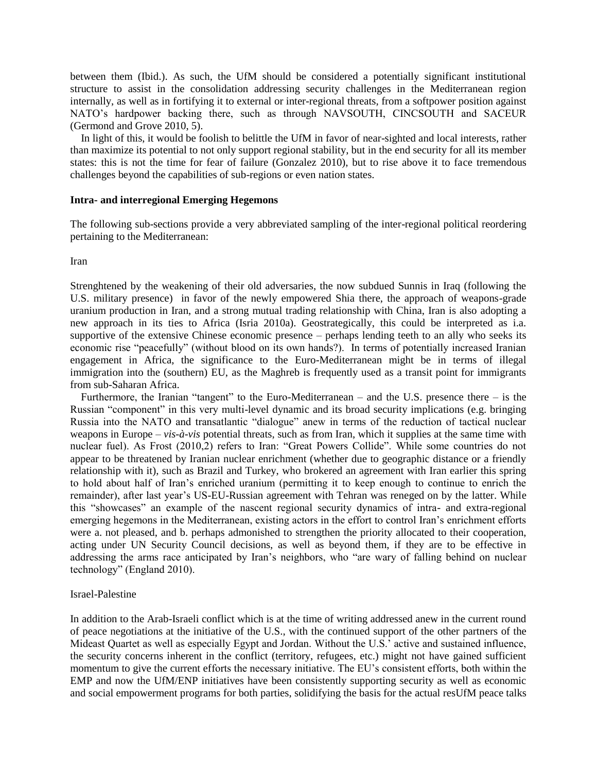between them (Ibid.). As such, the UfM should be considered a potentially significant institutional structure to assist in the consolidation addressing security challenges in the Mediterranean region internally, as well as in fortifying it to external or inter-regional threats, from a softpower position against NATO"s hardpower backing there, such as through NAVSOUTH, CINCSOUTH and SACEUR (Germond and Grove 2010, 5).

 In light of this, it would be foolish to belittle the UfM in favor of near-sighted and local interests, rather than maximize its potential to not only support regional stability, but in the end security for all its member states: this is not the time for fear of failure (Gonzalez 2010), but to rise above it to face tremendous challenges beyond the capabilities of sub-regions or even nation states.

#### **Intra- and interregional Emerging Hegemons**

The following sub-sections provide a very abbreviated sampling of the inter-regional political reordering pertaining to the Mediterranean:

Iran

Strenghtened by the weakening of their old adversaries, the now subdued Sunnis in Iraq (following the U.S. military presence) in favor of the newly empowered Shia there, the approach of weapons-grade uranium production in Iran, and a strong mutual trading relationship with China, Iran is also adopting a new approach in its ties to Africa (Isria 2010a). Geostrategically, this could be interpreted as i.a. supportive of the extensive Chinese economic presence – perhaps lending teeth to an ally who seeks its economic rise "peacefully" (without blood on its own hands?). In terms of potentially increased Iranian engagement in Africa, the significance to the Euro-Mediterranean might be in terms of illegal immigration into the (southern) EU, as the Maghreb is frequently used as a transit point for immigrants from sub-Saharan Africa.

 Furthermore, the Iranian "tangent" to the Euro-Mediterranean – and the U.S. presence there – is the Russian "component" in this very multi-level dynamic and its broad security implications (e.g. bringing Russia into the NATO and transatlantic "dialogue" anew in terms of the reduction of tactical nuclear weapons in Europe – *vis-à-vis* potential threats, such as from Iran, which it supplies at the same time with nuclear fuel). As Frost (2010,2) refers to Iran: "Great Powers Collide". While some countries do not appear to be threatened by Iranian nuclear enrichment (whether due to geographic distance or a friendly relationship with it), such as Brazil and Turkey, who brokered an agreement with Iran earlier this spring to hold about half of Iran"s enriched uranium (permitting it to keep enough to continue to enrich the remainder), after last year"s US-EU-Russian agreement with Tehran was reneged on by the latter. While this "showcases" an example of the nascent regional security dynamics of intra- and extra-regional emerging hegemons in the Mediterranean, existing actors in the effort to control Iran"s enrichment efforts were a. not pleased, and b. perhaps admonished to strengthen the priority allocated to their cooperation, acting under UN Security Council decisions, as well as beyond them, if they are to be effective in addressing the arms race anticipated by Iran"s neighbors, who "are wary of falling behind on nuclear technology" (England 2010).

#### Israel-Palestine

In addition to the Arab-Israeli conflict which is at the time of writing addressed anew in the current round of peace negotiations at the initiative of the U.S., with the continued support of the other partners of the Mideast Quartet as well as especially Egypt and Jordan. Without the U.S.<sup>5</sup> active and sustained influence, the security concerns inherent in the conflict (territory, refugees, etc.) might not have gained sufficient momentum to give the current efforts the necessary initiative. The EU"s consistent efforts, both within the EMP and now the UfM/ENP initiatives have been consistently supporting security as well as economic and social empowerment programs for both parties, solidifying the basis for the actual resUfM peace talks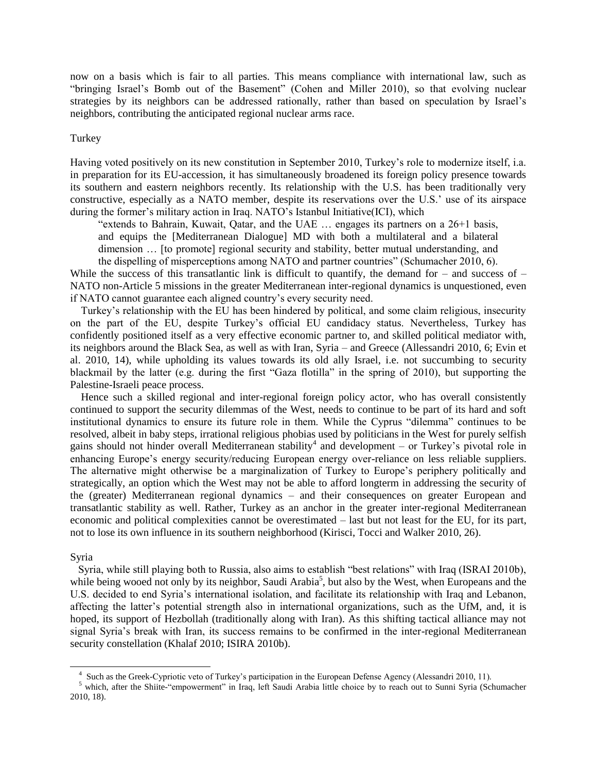now on a basis which is fair to all parties. This means compliance with international law, such as "bringing Israel's Bomb out of the Basement" (Cohen and Miller 2010), so that evolving nuclear strategies by its neighbors can be addressed rationally, rather than based on speculation by Israel"s neighbors, contributing the anticipated regional nuclear arms race.

#### Turkey

Having voted positively on its new constitution in September 2010, Turkey"s role to modernize itself, i.a. in preparation for its EU-accession, it has simultaneously broadened its foreign policy presence towards its southern and eastern neighbors recently. Its relationship with the U.S. has been traditionally very constructive, especially as a NATO member, despite its reservations over the U.S." use of its airspace during the former's military action in Iraq. NATO's Istanbul Initiative(ICI), which

"extends to Bahrain, Kuwait, Qatar, and the UAE  $\ldots$  engages its partners on a 26+1 basis, and equips the [Mediterranean Dialogue] MD with both a multilateral and a bilateral dimension … [to promote] regional security and stability, better mutual understanding, and

the dispelling of misperceptions among NATO and partner countries" (Schumacher 2010, 6). While the success of this transatlantic link is difficult to quantify, the demand for – and success of – NATO non-Article 5 missions in the greater Mediterranean inter-regional dynamics is unquestioned, even if NATO cannot guarantee each aligned country"s every security need.

 Turkey"s relationship with the EU has been hindered by political, and some claim religious, insecurity on the part of the EU, despite Turkey"s official EU candidacy status. Nevertheless, Turkey has confidently positioned itself as a very effective economic partner to, and skilled political mediator with, its neighbors around the Black Sea, as well as with Iran, Syria – and Greece (Allessandri 2010, 6; Evin et al. 2010, 14), while upholding its values towards its old ally Israel, i.e. not succumbing to security blackmail by the latter (e.g. during the first "Gaza flotilla" in the spring of 2010), but supporting the Palestine-Israeli peace process.

 Hence such a skilled regional and inter-regional foreign policy actor, who has overall consistently continued to support the security dilemmas of the West, needs to continue to be part of its hard and soft institutional dynamics to ensure its future role in them. While the Cyprus "dilemma" continues to be resolved, albeit in baby steps, irrational religious phobias used by politicians in the West for purely selfish gains should not hinder overall Mediterranean stability<sup>4</sup> and development – or Turkey's pivotal role in enhancing Europe"s energy security/reducing European energy over-reliance on less reliable suppliers. The alternative might otherwise be a marginalization of Turkey to Europe"s periphery politically and strategically, an option which the West may not be able to afford longterm in addressing the security of the (greater) Mediterranean regional dynamics – and their consequences on greater European and transatlantic stability as well. Rather, Turkey as an anchor in the greater inter-regional Mediterranean economic and political complexities cannot be overestimated – last but not least for the EU, for its part, not to lose its own influence in its southern neighborhood (Kirisci, Tocci and Walker 2010, 26).

#### Syria

l

 Syria, while still playing both to Russia, also aims to establish "best relations" with Iraq (ISRAI 2010b), while being wooed not only by its neighbor, Saudi Arabia<sup>5</sup>, but also by the West, when Europeans and the U.S. decided to end Syria"s international isolation, and facilitate its relationship with Iraq and Lebanon, affecting the latter"s potential strength also in international organizations, such as the UfM, and, it is hoped, its support of Hezbollah (traditionally along with Iran). As this shifting tactical alliance may not signal Syria's break with Iran, its success remains to be confirmed in the inter-regional Mediterranean security constellation (Khalaf 2010; ISIRA 2010b).

<sup>4</sup> Such as the Greek-Cypriotic veto of Turkey"s participation in the European Defense Agency (Alessandri 2010, 11).

<sup>&</sup>lt;sup>5</sup> which, after the Shiite-"empowerment" in Iraq, left Saudi Arabia little choice by to reach out to Sunni Syria (Schumacher 2010, 18).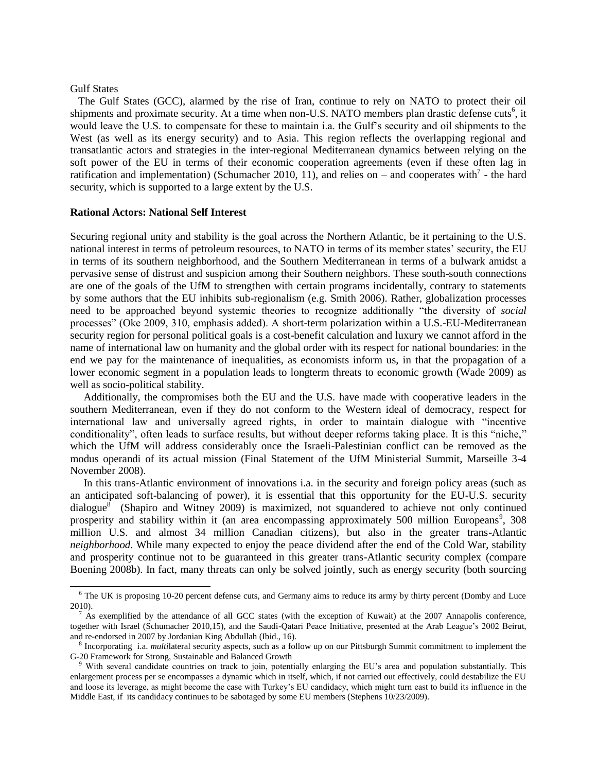#### Gulf States

 $\overline{\phantom{a}}$ 

 The Gulf States (GCC), alarmed by the rise of Iran, continue to rely on NATO to protect their oil shipments and proximate security. At a time when non-U.S. NATO members plan drastic defense cuts<sup>6</sup>, it would leave the U.S. to compensate for these to maintain i.a. the Gulf"s security and oil shipments to the West (as well as its energy security) and to Asia. This region reflects the overlapping regional and transatlantic actors and strategies in the inter-regional Mediterranean dynamics between relying on the soft power of the EU in terms of their economic cooperation agreements (even if these often lag in ratification and implementation) (Schumacher 2010, 11), and relies on – and cooperates with<sup>7</sup> - the hard security, which is supported to a large extent by the U.S.

#### **Rational Actors: National Self Interest**

Securing regional unity and stability is the goal across the Northern Atlantic, be it pertaining to the U.S. national interest in terms of petroleum resources, to NATO in terms of its member states' security, the EU in terms of its southern neighborhood, and the Southern Mediterranean in terms of a bulwark amidst a pervasive sense of distrust and suspicion among their Southern neighbors. These south-south connections are one of the goals of the UfM to strengthen with certain programs incidentally, contrary to statements by some authors that the EU inhibits sub-regionalism (e.g. Smith 2006). Rather, globalization processes need to be approached beyond systemic theories to recognize additionally "the diversity of *social* processes" (Oke 2009, 310, emphasis added). A short-term polarization within a U.S.-EU-Mediterranean security region for personal political goals is a cost-benefit calculation and luxury we cannot afford in the name of international law on humanity and the global order with its respect for national boundaries: in the end we pay for the maintenance of inequalities, as economists inform us, in that the propagation of a lower economic segment in a population leads to longterm threats to economic growth (Wade 2009) as well as socio-political stability.

 Additionally, the compromises both the EU and the U.S. have made with cooperative leaders in the southern Mediterranean, even if they do not conform to the Western ideal of democracy, respect for international law and universally agreed rights, in order to maintain dialogue with "incentive conditionality", often leads to surface results, but without deeper reforms taking place. It is this "niche," which the UfM will address considerably once the Israeli-Palestinian conflict can be removed as the modus operandi of its actual mission (Final Statement of the UfM Ministerial Summit, Marseille 3-4 November 2008).

 In this trans-Atlantic environment of innovations i.a. in the security and foreign policy areas (such as an anticipated soft-balancing of power), it is essential that this opportunity for the EU-U.S. security dialogue<sup>8</sup> (Shapiro and Witney 2009) is maximized, not squandered to achieve not only continued prosperity and stability within it (an area encompassing approximately 500 million Europeans<sup>9</sup>, 308 million U.S. and almost 34 million Canadian citizens), but also in the greater trans-Atlantic *neighborhood.* While many expected to enjoy the peace dividend after the end of the Cold War, stability and prosperity continue not to be guaranteed in this greater trans-Atlantic security complex (compare Boening 2008b). In fact, many threats can only be solved jointly, such as energy security (both sourcing

<sup>&</sup>lt;sup>6</sup> The UK is proposing 10-20 percent defense cuts, and Germany aims to reduce its army by thirty percent (Domby and Luce 2010).

 $<sup>7</sup>$  As exemplified by the attendance of all GCC states (with the exception of Kuwait) at the 2007 Annapolis conference,</sup> together with Israel (Schumacher 2010,15), and the Saudi-Qatari Peace Initiative, presented at the Arab League"s 2002 Beirut, and re-endorsed in 2007 by Jordanian King Abdullah (Ibid., 16).

<sup>&</sup>lt;sup>8</sup> Incorporating i.a. *multilateral security aspects*, such as a follow up on our Pittsburgh Summit commitment to implement the G-20 Framework for Strong, Sustainable and Balanced Growth

<sup>9</sup> With several candidate countries on track to join, potentially enlarging the EU"s area and population substantially. This enlargement process per se encompasses a dynamic which in itself, which, if not carried out effectively, could destabilize the EU and loose its leverage, as might become the case with Turkey"s EU candidacy, which might turn east to build its influence in the Middle East, if its candidacy continues to be sabotaged by some EU members (Stephens 10/23/2009).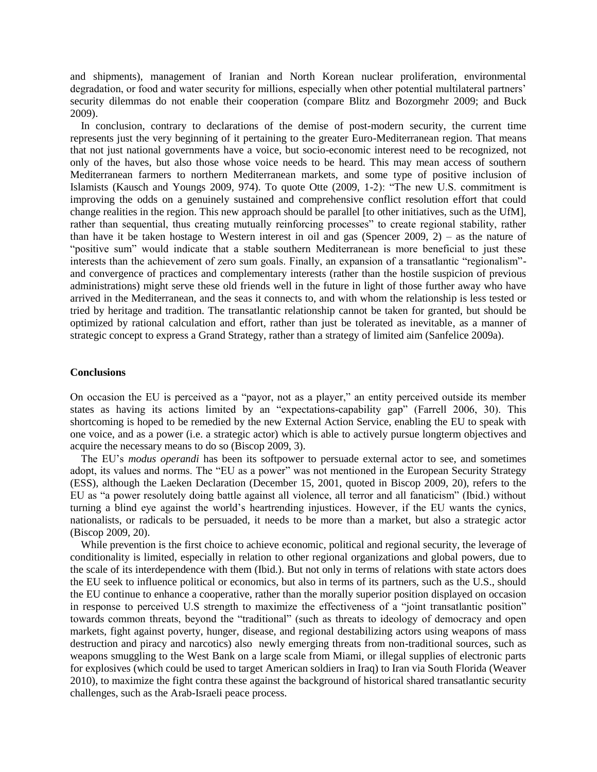and shipments), management of Iranian and North Korean nuclear proliferation, environmental degradation, or food and water security for millions, especially when other potential multilateral partners' security dilemmas do not enable their cooperation (compare Blitz and Bozorgmehr 2009; and Buck 2009).

 In conclusion, contrary to declarations of the demise of post-modern security, the current time represents just the very beginning of it pertaining to the greater Euro-Mediterranean region. That means that not just national governments have a voice, but socio-economic interest need to be recognized, not only of the haves, but also those whose voice needs to be heard. This may mean access of southern Mediterranean farmers to northern Mediterranean markets, and some type of positive inclusion of Islamists (Kausch and Youngs 2009, 974). To quote Otte (2009, 1-2): "The new U.S. commitment is improving the odds on a genuinely sustained and comprehensive conflict resolution effort that could change realities in the region. This new approach should be parallel [to other initiatives, such as the UfM], rather than sequential, thus creating mutually reinforcing processes" to create regional stability, rather than have it be taken hostage to Western interest in oil and gas (Spencer 2009, 2) – as the nature of "positive sum" would indicate that a stable southern Mediterranean is more beneficial to just these interests than the achievement of zero sum goals. Finally, an expansion of a transatlantic "regionalism" and convergence of practices and complementary interests (rather than the hostile suspicion of previous administrations) might serve these old friends well in the future in light of those further away who have arrived in the Mediterranean, and the seas it connects to, and with whom the relationship is less tested or tried by heritage and tradition. The transatlantic relationship cannot be taken for granted, but should be optimized by rational calculation and effort, rather than just be tolerated as inevitable, as a manner of strategic concept to express a Grand Strategy, rather than a strategy of limited aim (Sanfelice 2009a).

#### **Conclusions**

On occasion the EU is perceived as a "payor, not as a player," an entity perceived outside its member states as having its actions limited by an "expectations-capability gap" (Farrell 2006, 30). This shortcoming is hoped to be remedied by the new External Action Service, enabling the EU to speak with one voice, and as a power (i.e. a strategic actor) which is able to actively pursue longterm objectives and acquire the necessary means to do so (Biscop 2009, 3).

 The EU"s *modus operandi* has been its softpower to persuade external actor to see, and sometimes adopt, its values and norms. The "EU as a power" was not mentioned in the European Security Strategy (ESS), although the Laeken Declaration (December 15, 2001, quoted in Biscop 2009, 20), refers to the EU as "a power resolutely doing battle against all violence, all terror and all fanaticism" (Ibid.) without turning a blind eye against the world"s heartrending injustices. However, if the EU wants the cynics, nationalists, or radicals to be persuaded, it needs to be more than a market, but also a strategic actor (Biscop 2009, 20).

 While prevention is the first choice to achieve economic, political and regional security, the leverage of conditionality is limited, especially in relation to other regional organizations and global powers, due to the scale of its interdependence with them (Ibid.). But not only in terms of relations with state actors does the EU seek to influence political or economics, but also in terms of its partners, such as the U.S., should the EU continue to enhance a cooperative, rather than the morally superior position displayed on occasion in response to perceived U.S strength to maximize the effectiveness of a "joint transatlantic position" towards common threats, beyond the "traditional" (such as threats to ideology of democracy and open markets, fight against poverty, hunger, disease, and regional destabilizing actors using weapons of mass destruction and piracy and narcotics) also newly emerging threats from non-traditional sources, such as weapons smuggling to the West Bank on a large scale from Miami, or illegal supplies of electronic parts for explosives (which could be used to target American soldiers in Iraq) to Iran via South Florida (Weaver 2010), to maximize the fight contra these against the background of historical shared transatlantic security challenges, such as the Arab-Israeli peace process.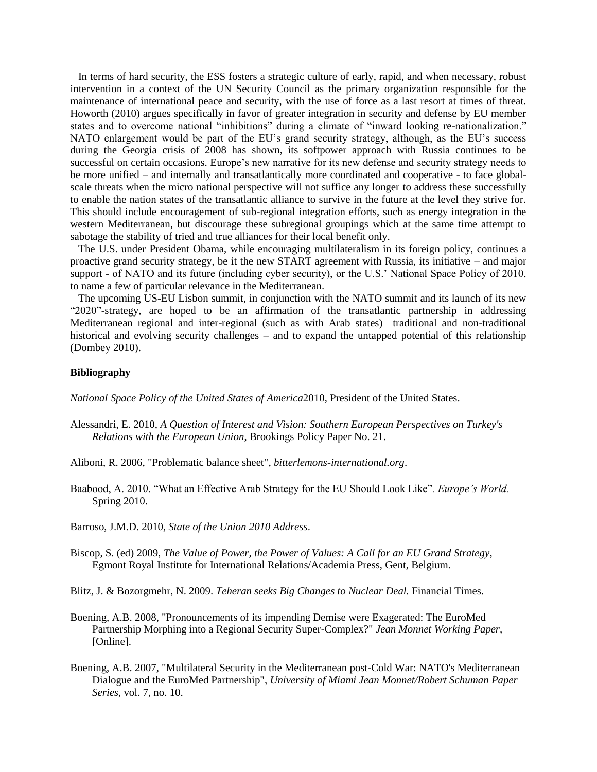In terms of hard security, the ESS fosters a strategic culture of early, rapid, and when necessary, robust intervention in a context of the UN Security Council as the primary organization responsible for the maintenance of international peace and security, with the use of force as a last resort at times of threat. Howorth (2010) argues specifically in favor of greater integration in security and defense by EU member states and to overcome national "inhibitions" during a climate of "inward looking re-nationalization." NATO enlargement would be part of the EU"s grand security strategy, although, as the EU"s success during the Georgia crisis of 2008 has shown, its softpower approach with Russia continues to be successful on certain occasions. Europe's new narrative for its new defense and security strategy needs to be more unified – and internally and transatlantically more coordinated and cooperative - to face globalscale threats when the micro national perspective will not suffice any longer to address these successfully to enable the nation states of the transatlantic alliance to survive in the future at the level they strive for. This should include encouragement of sub-regional integration efforts, such as energy integration in the western Mediterranean, but discourage these subregional groupings which at the same time attempt to sabotage the stability of tried and true alliances for their local benefit only.

 The U.S. under President Obama, while encouraging multilateralism in its foreign policy, continues a proactive grand security strategy, be it the new START agreement with Russia, its initiative – and major support - of NATO and its future (including cyber security), or the U.S.' National Space Policy of 2010, to name a few of particular relevance in the Mediterranean.

 The upcoming US-EU Lisbon summit, in conjunction with the NATO summit and its launch of its new "2020"-strategy, are hoped to be an affirmation of the transatlantic partnership in addressing Mediterranean regional and inter-regional (such as with Arab states) traditional and non-traditional historical and evolving security challenges – and to expand the untapped potential of this relationship (Dombey 2010).

#### **Bibliography**

*National Space Policy of the United States of America*2010, President of the United States.

- Alessandri, E. 2010, *A Question of Interest and Vision: Southern European Perspectives on Turkey's Relations with the European Union*, Brookings Policy Paper No. 21.
- Aliboni, R. 2006, "Problematic balance sheet", *bitterlemons-international.org*.
- Baabood, A. 2010. "What an Effective Arab Strategy for the EU Should Look Like"*. Europe's World.*  Spring 2010.
- Barroso, J.M.D. 2010, *State of the Union 2010 Address*.
- Biscop, S. (ed) 2009, *The Value of Power, the Power of Values: A Call for an EU Grand Strategy*, Egmont Royal Institute for International Relations/Academia Press, Gent, Belgium.

Blitz, J. & Bozorgmehr, N. 2009. *Teheran seeks Big Changes to Nuclear Deal.* Financial Times.

- Boening, A.B. 2008, "Pronouncements of its impending Demise were Exagerated: The EuroMed Partnership Morphing into a Regional Security Super-Complex?" *Jean Monnet Working Paper,*  [Online].
- Boening, A.B. 2007, "Multilateral Security in the Mediterranean post-Cold War: NATO's Mediterranean Dialogue and the EuroMed Partnership", *University of Miami Jean Monnet/Robert Schuman Paper Series,* vol. 7, no. 10.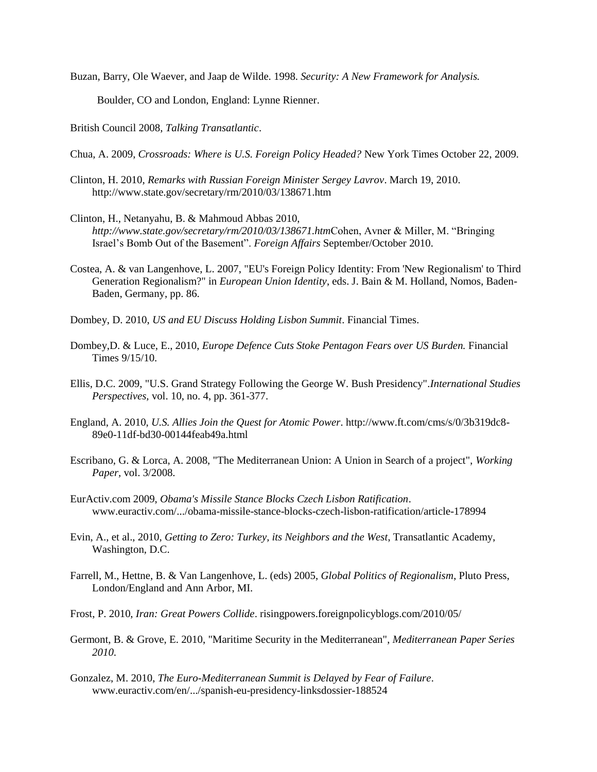Buzan, Barry, Ole Waever, and Jaap de Wilde. 1998. *Security: A New Framework for Analysis.*

Boulder, CO and London, England: Lynne Rienner.

British Council 2008, *Talking Transatlantic*.

Chua, A. 2009, *Crossroads: Where is U.S. Foreign Policy Headed?* New York Times October 22, 2009.

- Clinton, H. 2010, *Remarks with Russian Foreign Minister Sergey Lavrov*. March 19, 2010. http://www.state.gov/secretary/rm/2010/03/138671.htm
- Clinton, H., Netanyahu, B. & Mahmoud Abbas 2010, *http://www.state.gov/secretary/rm/2010/03/138671.htm*Cohen, Avner & Miller, M. "Bringing Israel"s Bomb Out of the Basement". *Foreign Affairs* September/October 2010.
- Costea, A. & van Langenhove, L. 2007, "EU's Foreign Policy Identity: From 'New Regionalism' to Third Generation Regionalism?" in *European Union Identity*, eds. J. Bain & M. Holland, Nomos, Baden-Baden, Germany, pp. 86.

Dombey, D. 2010, *US and EU Discuss Holding Lisbon Summit*. Financial Times.

- Dombey,D. & Luce, E., 2010, *Europe Defence Cuts Stoke Pentagon Fears over US Burden.* Financial Times 9/15/10.
- Ellis, D.C. 2009, "U.S. Grand Strategy Following the George W. Bush Presidency".*International Studies Perspectives,* vol. 10, no. 4, pp. 361-377.
- England, A. 2010, *U.S. Allies Join the Quest for Atomic Power*. http://www.ft.com/cms/s/0/3b319dc8- 89e0-11df-bd30-00144feab49a.html
- Escribano, G. & Lorca, A. 2008, "The Mediterranean Union: A Union in Search of a project", *Working Paper,* vol. 3/2008.
- EurActiv.com 2009, *Obama's Missile Stance Blocks Czech Lisbon Ratification*. www.euractiv.com/.../obama-missile-stance-blocks-czech-lisbon-ratification/article-178994
- Evin, A., et al., 2010, *Getting to Zero: Turkey, its Neighbors and the West*, Transatlantic Academy, Washington, D.C.
- Farrell, M., Hettne, B. & Van Langenhove, L. (eds) 2005, *Global Politics of Regionalism*, Pluto Press, London/England and Ann Arbor, MI.
- Frost, P. 2010, *Iran: Great Powers Collide*. risingpowers.foreignpolicyblogs.com/2010/05/
- Germont, B. & Grove, E. 2010, "Maritime Security in the Mediterranean", *Mediterranean Paper Series 2010*.
- Gonzalez, M. 2010, *The Euro-Mediterranean Summit is Delayed by Fear of Failure*. www.euractiv.com/en/.../spanish-eu-presidency-linksdossier-188524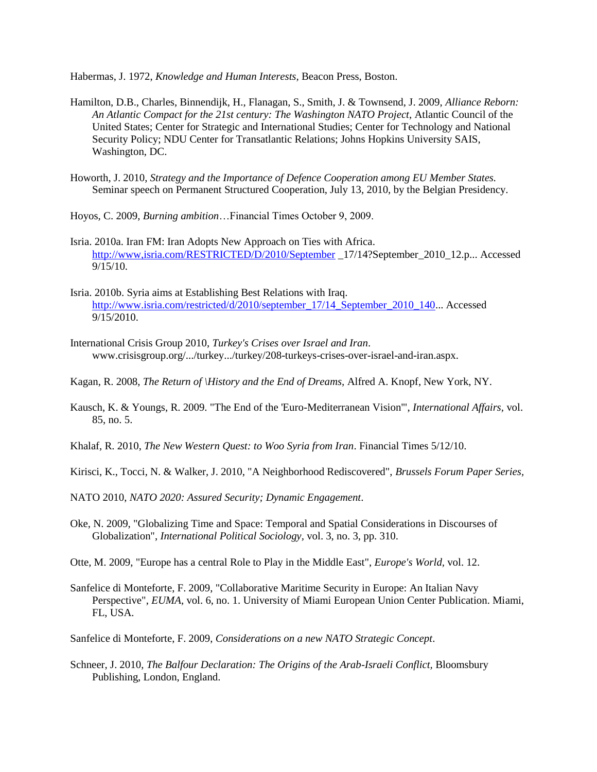Habermas, J. 1972, *Knowledge and Human Interests,* Beacon Press, Boston.

- Hamilton, D.B., Charles, Binnendijk, H., Flanagan, S., Smith, J. & Townsend, J. 2009, *Alliance Reborn: An Atlantic Compact for the 21st century: The Washington NATO Project*, Atlantic Council of the United States; Center for Strategic and International Studies; Center for Technology and National Security Policy; NDU Center for Transatlantic Relations; Johns Hopkins University SAIS, Washington, DC.
- Howorth, J. 2010, *Strategy and the Importance of Defence Cooperation among EU Member States.* Seminar speech on Permanent Structured Cooperation, July 13, 2010, by the Belgian Presidency.
- Hoyos, C. 2009, *Burning ambition*…Financial Times October 9, 2009.
- Isria. 2010a. Iran FM: Iran Adopts New Approach on Ties with Africa. <http://www,isria.com/RESTRICTED/D/2010/September> \_17/14?September\_2010\_12.p... Accessed 9/15/10.
- Isria. 2010b. Syria aims at Establishing Best Relations with Iraq. [http://www.isria.com/restricted/d/2010/september\\_17/14\\_September\\_2010\\_140.](http://www.isria.com/restricted/d/2010/september_17/14_September_2010_140).. Accessed 9/15/2010.
- International Crisis Group 2010, *Turkey's Crises over Israel and Iran*. www.crisisgroup.org/.../turkey.../turkey/208-turkeys-crises-over-israel-and-iran.aspx.
- Kagan, R. 2008, *The Return of \History and the End of Dreams,* Alfred A. Knopf, New York, NY.
- Kausch, K. & Youngs, R. 2009. "The End of the 'Euro-Mediterranean Vision'", *International Affairs,* vol. 85, no. 5.
- Khalaf, R. 2010, *The New Western Quest: to Woo Syria from Iran*. Financial Times 5/12/10.
- Kirisci, K., Tocci, N. & Walker, J. 2010, "A Neighborhood Rediscovered", *Brussels Forum Paper Series,*
- NATO 2010, *NATO 2020: Assured Security; Dynamic Engagement*.
- Oke, N. 2009, "Globalizing Time and Space: Temporal and Spatial Considerations in Discourses of Globalization", *International Political Sociology,* vol. 3, no. 3, pp. 310.
- Otte, M. 2009, "Europe has a central Role to Play in the Middle East", *Europe's World,* vol. 12.
- Sanfelice di Monteforte, F. 2009, "Collaborative Maritime Security in Europe: An Italian Navy Perspective", *EUMA,* vol. 6, no. 1. University of Miami European Union Center Publication. Miami, FL, USA.
- Sanfelice di Monteforte, F. 2009, *Considerations on a new NATO Strategic Concept*.
- Schneer, J. 2010, *The Balfour Declaration: The Origins of the Arab-Israeli Conflict,* Bloomsbury Publishing, London, England.